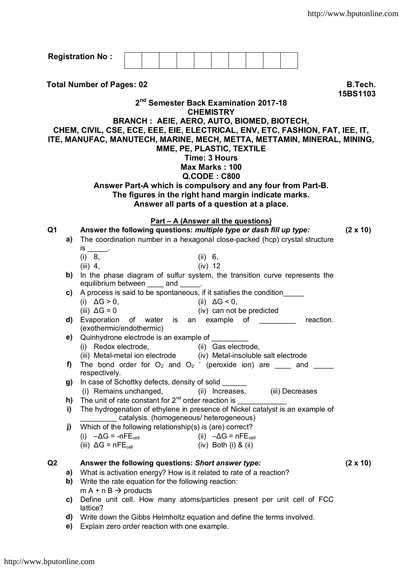| <b>Registration No:</b>                                                                                                                                                                                                                                                                                                          |                                                                                                                                     |                                                                                                                                                                                                                                            |                                         |  |  |                               |           |                            |  |                           |  |                 |  |
|----------------------------------------------------------------------------------------------------------------------------------------------------------------------------------------------------------------------------------------------------------------------------------------------------------------------------------|-------------------------------------------------------------------------------------------------------------------------------------|--------------------------------------------------------------------------------------------------------------------------------------------------------------------------------------------------------------------------------------------|-----------------------------------------|--|--|-------------------------------|-----------|----------------------------|--|---------------------------|--|-----------------|--|
| <b>Total Number of Pages: 02</b><br>B.Tech.<br>15BS1103<br>2 <sup>nd</sup> Semester Back Examination 2017-18<br><b>CHEMISTRY</b><br><b>BRANCH: AEIE, AERO, AUTO, BIOMED, BIOTECH,</b><br>CHEM, CIVIL, CSE, ECE, EEE, EIE, ELECTRICAL, ENV, ETC, FASHION, FAT, IEE, IT,                                                           |                                                                                                                                     |                                                                                                                                                                                                                                            |                                         |  |  |                               |           |                            |  |                           |  |                 |  |
| ITE, MANUFAC, MANUTECH, MARINE, MECH, METTA, METTAMIN, MINERAL, MINING,<br>MME, PE, PLASTIC, TEXTILE<br>Time: 3 Hours<br>Max Marks: 100<br>$Q$ .CODE : C800<br>Answer Part-A which is compulsory and any four from Part-B.<br>The figures in the right hand margin indicate marks.<br>Answer all parts of a question at a place. |                                                                                                                                     |                                                                                                                                                                                                                                            |                                         |  |  |                               |           |                            |  |                           |  |                 |  |
| Part - A (Answer all the questions)<br>Q <sub>1</sub><br>Answer the following questions: multiple type or dash fill up type:<br>$(2 \times 10)$                                                                                                                                                                                  |                                                                                                                                     |                                                                                                                                                                                                                                            |                                         |  |  |                               |           |                            |  |                           |  |                 |  |
|                                                                                                                                                                                                                                                                                                                                  | a)                                                                                                                                  | The coordination number in a hexagonal close-packed (hcp) crystal structure<br>is _______.<br>(i) 8,                                                                                                                                       |                                         |  |  |                               | (ii) 6,   |                            |  |                           |  |                 |  |
|                                                                                                                                                                                                                                                                                                                                  | b)                                                                                                                                  | $(iii)$ 4,                                                                                                                                                                                                                                 |                                         |  |  |                               | $(iv)$ 12 |                            |  |                           |  |                 |  |
|                                                                                                                                                                                                                                                                                                                                  | C)                                                                                                                                  | In the phase diagram of sulfur system, the transition curve represents the<br>equilibrium between _____ and ______.<br>A process is said to be spontaneous, if it satisfies the condition<br>(i) $\Delta G > 0$ ,<br>(ii) $\Delta G < 0$ , |                                         |  |  |                               |           |                            |  |                           |  |                 |  |
|                                                                                                                                                                                                                                                                                                                                  |                                                                                                                                     | (iii) $\Delta G = 0$<br>d) Evaporation of water is an example of ________ reaction.<br>(exothermic/endothermic)                                                                                                                            |                                         |  |  |                               |           |                            |  | (iv) can not be predicted |  |                 |  |
|                                                                                                                                                                                                                                                                                                                                  | e) —                                                                                                                                | Quinhydrone electrode is an example of<br>(i) Redox electrode, (ii) Gas electrode,<br>(iii) Metal-metal ion electrode (iv) Metal-insoluble salt electrode                                                                                  |                                         |  |  |                               |           |                            |  |                           |  |                 |  |
|                                                                                                                                                                                                                                                                                                                                  | f)                                                                                                                                  | The bond order for $O_2$ and $O_2$ (peroxide ion) are ______ and ______<br>respectively.                                                                                                                                                   |                                         |  |  |                               |           |                            |  |                           |  |                 |  |
|                                                                                                                                                                                                                                                                                                                                  | g)                                                                                                                                  | In case of Schottky defects, density of solid ______<br>(i) Remains unchanged,                                                                                                                                                             |                                         |  |  |                               |           |                            |  |                           |  |                 |  |
|                                                                                                                                                                                                                                                                                                                                  | h)<br>i)                                                                                                                            | (ii) Increases, (iii) Decreases<br>The hydrogenation of ethylene in presence of Nickel catalyst is an example of                                                                                                                           |                                         |  |  |                               |           |                            |  |                           |  |                 |  |
|                                                                                                                                                                                                                                                                                                                                  | j)                                                                                                                                  | Which of the following relationship(s) is (are) correct?                                                                                                                                                                                   | catalysis. (homogeneous/ heterogeneous) |  |  |                               |           |                            |  |                           |  |                 |  |
|                                                                                                                                                                                                                                                                                                                                  |                                                                                                                                     | (i) $-\Delta G = -nFE_{cell}$<br>(iii) $\Delta G = nFE_{cell}$                                                                                                                                                                             |                                         |  |  | (ii) $-\Delta G = nFE_{cell}$ |           | $(iv)$ Both $(i)$ & $(ii)$ |  |                           |  |                 |  |
| Q <sub>2</sub>                                                                                                                                                                                                                                                                                                                   | a)<br>b)                                                                                                                            | Answer the following questions: Short answer type:<br>What is activation energy? How is it related to rate of a reaction?<br>Write the rate equation for the following reaction:                                                           |                                         |  |  |                               |           |                            |  |                           |  | $(2 \times 10)$ |  |
|                                                                                                                                                                                                                                                                                                                                  | C)                                                                                                                                  | $m A + n B \rightarrow$ products<br>Define unit cell. How many atoms/particles present per unit cell of FCC<br>lattice?                                                                                                                    |                                         |  |  |                               |           |                            |  |                           |  |                 |  |
|                                                                                                                                                                                                                                                                                                                                  | Write down the Gibbs Helmholtz equation and define the terms involved.<br>d)<br>Explain zero order reaction with one example.<br>e) |                                                                                                                                                                                                                                            |                                         |  |  |                               |           |                            |  |                           |  |                 |  |